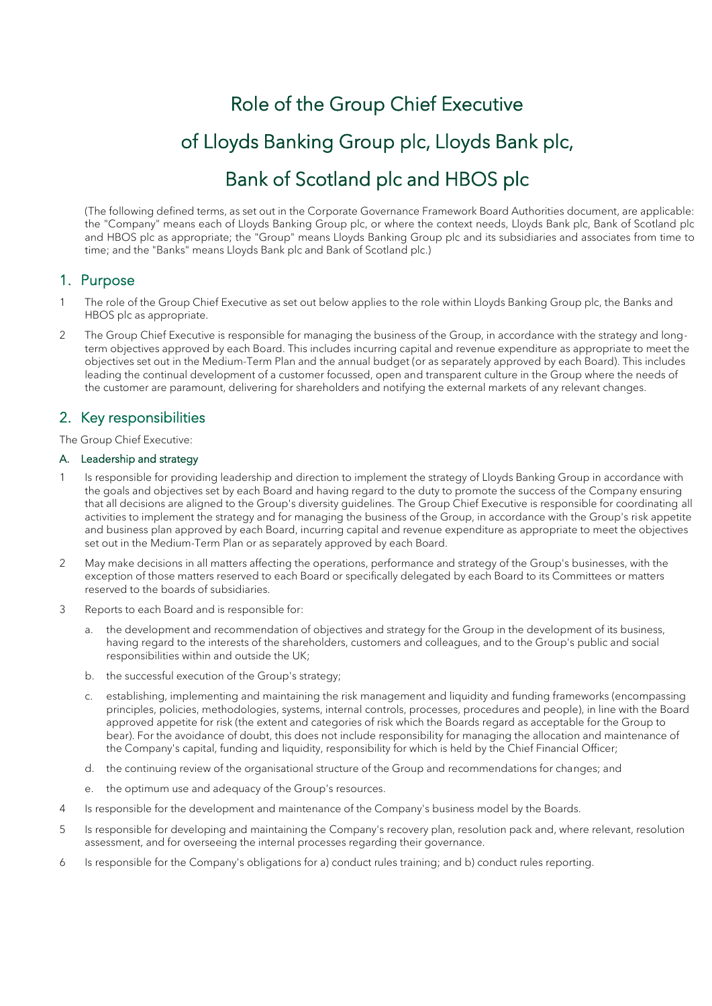# Role of the Group Chief Executive of Lloyds Banking Group plc, Lloyds Bank plc, Bank of Scotland plc and HBOS plc

(The following defined terms, as set out in the Corporate Governance Framework Board Authorities document, are applicable: the "Company" means each of Lloyds Banking Group plc, or where the context needs, Lloyds Bank plc, Bank of Scotland plc and HBOS plc as appropriate; the "Group" means Lloyds Banking Group plc and its subsidiaries and associates from time to time; and the "Banks" means Lloyds Bank plc and Bank of Scotland plc.)

# 1. Purpose

- 1 The role of the Group Chief Executive as set out below applies to the role within Lloyds Banking Group plc, the Banks and HBOS plc as appropriate.
- 2 The Group Chief Executive is responsible for managing the business of the Group, in accordance with the strategy and longterm objectives approved by each Board. This includes incurring capital and revenue expenditure as appropriate to meet the objectives set out in the Medium-Term Plan and the annual budget (or as separately approved by each Board). This includes leading the continual development of a customer focussed, open and transparent culture in the Group where the needs of the customer are paramount, delivering for shareholders and notifying the external markets of any relevant changes.

# 2. Key responsibilities

The Group Chief Executive:

# A. Leadership and strategy

- 1 Is responsible for providing leadership and direction to implement the strategy of Lloyds Banking Group in accordance with the goals and objectives set by each Board and having regard to the duty to promote the success of the Company ensuring that all decisions are aligned to the Group's diversity guidelines. The Group Chief Executive is responsible for coordinating all activities to implement the strategy and for managing the business of the Group, in accordance with the Group's risk appetite and business plan approved by each Board, incurring capital and revenue expenditure as appropriate to meet the objectives set out in the Medium-Term Plan or as separately approved by each Board.
- 2 May make decisions in all matters affecting the operations, performance and strategy of the Group's businesses, with the exception of those matters reserved to each Board or specifically delegated by each Board to its Committees or matters reserved to the boards of subsidiaries.
- 3 Reports to each Board and is responsible for:
	- a. the development and recommendation of objectives and strategy for the Group in the development of its business, having regard to the interests of the shareholders, customers and colleagues, and to the Group's public and social responsibilities within and outside the UK;
	- b. the successful execution of the Group's strategy;
	- c. establishing, implementing and maintaining the risk management and liquidity and funding frameworks (encompassing principles, policies, methodologies, systems, internal controls, processes, procedures and people), in line with the Board approved appetite for risk (the extent and categories of risk which the Boards regard as acceptable for the Group to bear). For the avoidance of doubt, this does not include responsibility for managing the allocation and maintenance of the Company's capital, funding and liquidity, responsibility for which is held by the Chief Financial Officer;
	- d. the continuing review of the organisational structure of the Group and recommendations for changes; and
	- e. the optimum use and adequacy of the Group's resources.
- 4 Is responsible for the development and maintenance of the Company's business model by the Boards.
- 5 Is responsible for developing and maintaining the Company's recovery plan, resolution pack and, where relevant, resolution assessment, and for overseeing the internal processes regarding their governance.
- 6 Is responsible for the Company's obligations for a) conduct rules training; and b) conduct rules reporting.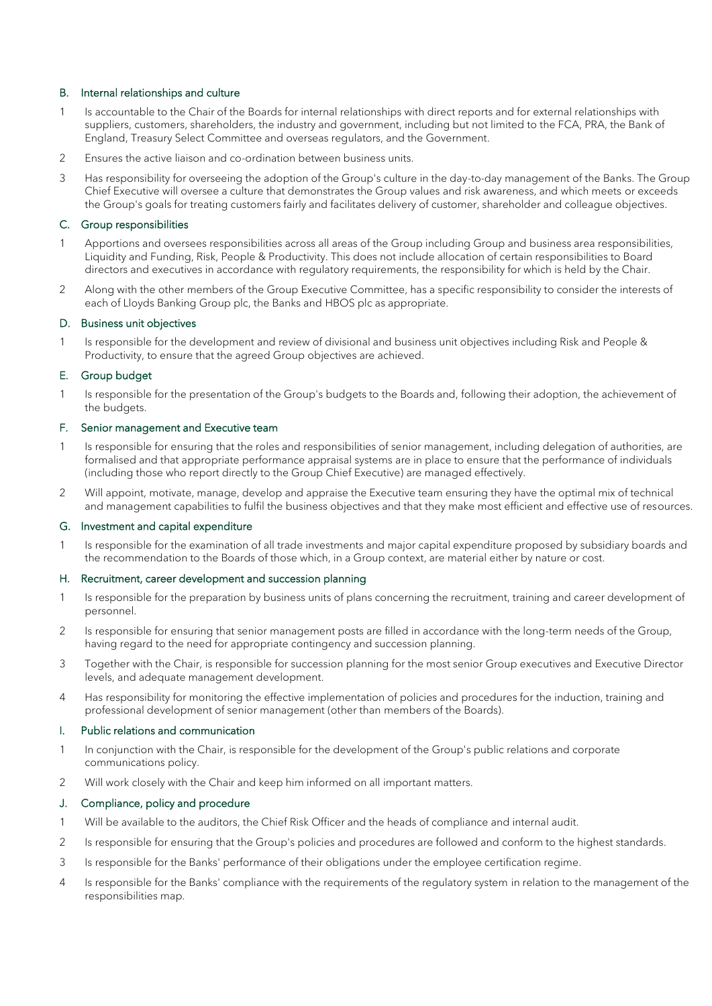# B. Internal relationships and culture

- 1 Is accountable to the Chair of the Boards for internal relationships with direct reports and for external relationships with suppliers, customers, shareholders, the industry and government, including but not limited to the FCA, PRA, the Bank of England, Treasury Select Committee and overseas regulators, and the Government.
- 2 Ensures the active liaison and co-ordination between business units.
- 3 Has responsibility for overseeing the adoption of the Group's culture in the day-to-day management of the Banks. The Group Chief Executive will oversee a culture that demonstrates the Group values and risk awareness, and which meets or exceeds the Group's goals for treating customers fairly and facilitates delivery of customer, shareholder and colleague objectives.

## C. Group responsibilities

- 1 Apportions and oversees responsibilities across all areas of the Group including Group and business area responsibilities, Liquidity and Funding, Risk, People & Productivity. This does not include allocation of certain responsibilities to Board directors and executives in accordance with regulatory requirements, the responsibility for which is held by the Chair.
- 2 Along with the other members of the Group Executive Committee, has a specific responsibility to consider the interests of each of Lloyds Banking Group plc, the Banks and HBOS plc as appropriate.

## D. Business unit objectives

1 Is responsible for the development and review of divisional and business unit objectives including Risk and People & Productivity, to ensure that the agreed Group objectives are achieved.

#### E. Group budget

1 Is responsible for the presentation of the Group's budgets to the Boards and, following their adoption, the achievement of the budgets.

#### F. Senior management and Executive team

- 1 Is responsible for ensuring that the roles and responsibilities of senior management, including delegation of authorities, are formalised and that appropriate performance appraisal systems are in place to ensure that the performance of individuals (including those who report directly to the Group Chief Executive) are managed effectively.
- 2 Will appoint, motivate, manage, develop and appraise the Executive team ensuring they have the optimal mix of technical and management capabilities to fulfil the business objectives and that they make most efficient and effective use of resources.

#### G. Investment and capital expenditure

1 Is responsible for the examination of all trade investments and major capital expenditure proposed by subsidiary boards and the recommendation to the Boards of those which, in a Group context, are material either by nature or cost.

#### H. Recruitment, career development and succession planning

- 1 Is responsible for the preparation by business units of plans concerning the recruitment, training and career development of personnel.
- 2 Is responsible for ensuring that senior management posts are filled in accordance with the long-term needs of the Group, having regard to the need for appropriate contingency and succession planning.
- 3 Together with the Chair, is responsible for succession planning for the most senior Group executives and Executive Director levels, and adequate management development.
- 4 Has responsibility for monitoring the effective implementation of policies and procedures for the induction, training and professional development of senior management (other than members of the Boards).

## I. Public relations and communication

- 1 In conjunction with the Chair, is responsible for the development of the Group's public relations and corporate communications policy.
- 2 Will work closely with the Chair and keep him informed on all important matters.

#### J. Compliance, policy and procedure

- 1 Will be available to the auditors, the Chief Risk Officer and the heads of compliance and internal audit.
- 2 Is responsible for ensuring that the Group's policies and procedures are followed and conform to the highest standards.
- 3 Is responsible for the Banks' performance of their obligations under the employee certification regime.
- 4 Is responsible for the Banks' compliance with the requirements of the regulatory system in relation to the management of the responsibilities map.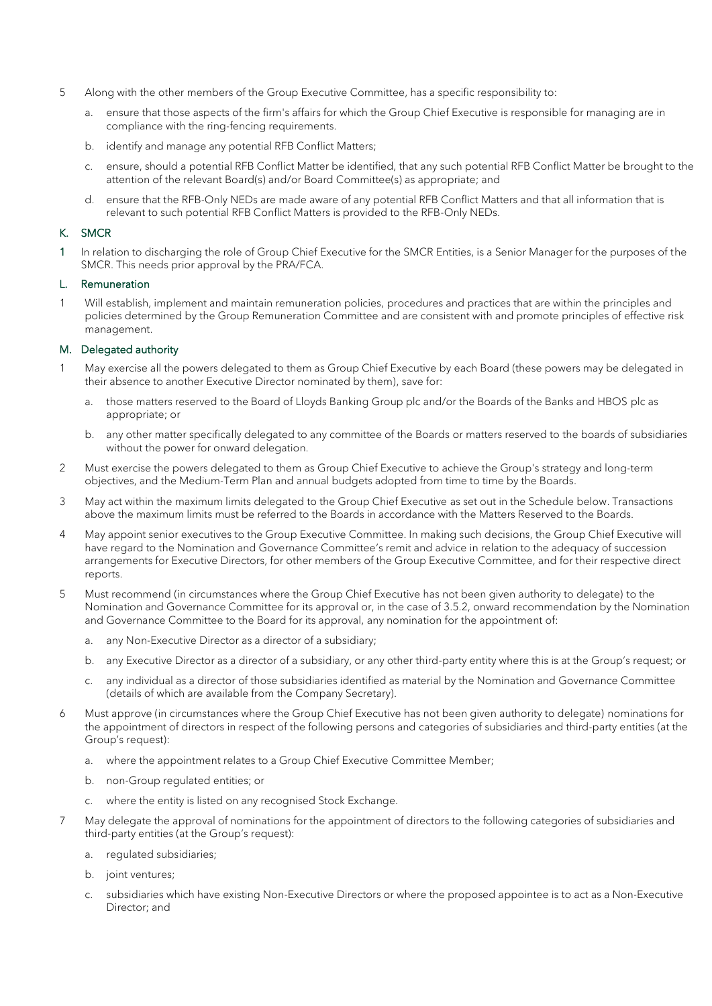- 5 Along with the other members of the Group Executive Committee, has a specific responsibility to:
	- a. ensure that those aspects of the firm's affairs for which the Group Chief Executive is responsible for managing are in compliance with the ring-fencing requirements.
	- b. identify and manage any potential RFB Conflict Matters;
	- c. ensure, should a potential RFB Conflict Matter be identified, that any such potential RFB Conflict Matter be brought to the attention of the relevant Board(s) and/or Board Committee(s) as appropriate; and
	- d. ensure that the RFB-Only NEDs are made aware of any potential RFB Conflict Matters and that all information that is relevant to such potential RFB Conflict Matters is provided to the RFB-Only NEDs.

# K. SMCR

1 In relation to discharging the role of Group Chief Executive for the SMCR Entities, is a Senior Manager for the purposes of the SMCR. This needs prior approval by the PRA/FCA.

#### L. Remuneration

1 Will establish, implement and maintain remuneration policies, procedures and practices that are within the principles and policies determined by the Group Remuneration Committee and are consistent with and promote principles of effective risk management.

# M. Delegated authority

- May exercise all the powers delegated to them as Group Chief Executive by each Board (these powers may be delegated in their absence to another Executive Director nominated by them), save for:
	- a. those matters reserved to the Board of Lloyds Banking Group plc and/or the Boards of the Banks and HBOS plc as appropriate; or
	- b. any other matter specifically delegated to any committee of the Boards or matters reserved to the boards of subsidiaries without the power for onward delegation.
- 2 Must exercise the powers delegated to them as Group Chief Executive to achieve the Group's strategy and long-term objectives, and the Medium-Term Plan and annual budgets adopted from time to time by the Boards.
- 3 May act within the maximum limits delegated to the Group Chief Executive as set out in the Schedule below. Transactions above the maximum limits must be referred to the Boards in accordance with the Matters Reserved to the Boards.
- 4 May appoint senior executives to the Group Executive Committee. In making such decisions, the Group Chief Executive will have regard to the Nomination and Governance Committee's remit and advice in relation to the adequacy of succession arrangements for Executive Directors, for other members of the Group Executive Committee, and for their respective direct reports.
- 5 Must recommend (in circumstances where the Group Chief Executive has not been given authority to delegate) to the Nomination and Governance Committee for its approval or, in the case of 3.5.2, onward recommendation by the Nomination and Governance Committee to the Board for its approval, any nomination for the appointment of:
	- a. any Non-Executive Director as a director of a subsidiary;
	- b. any Executive Director as a director of a subsidiary, or any other third-party entity where this is at the Group's request; or
	- c. any individual as a director of those subsidiaries identified as material by the Nomination and Governance Committee (details of which are available from the Company Secretary).
- 6 Must approve (in circumstances where the Group Chief Executive has not been given authority to delegate) nominations for the appointment of directors in respect of the following persons and categories of subsidiaries and third-party entities (at the Group's request):
	- a. where the appointment relates to a Group Chief Executive Committee Member;
	- b. non-Group regulated entities; or
	- c. where the entity is listed on any recognised Stock Exchange.
- 7 May delegate the approval of nominations for the appointment of directors to the following categories of subsidiaries and third-party entities (at the Group's request):
	- a. regulated subsidiaries;
	- b. joint ventures;
	- subsidiaries which have existing Non-Executive Directors or where the proposed appointee is to act as a Non-Executive Director; and